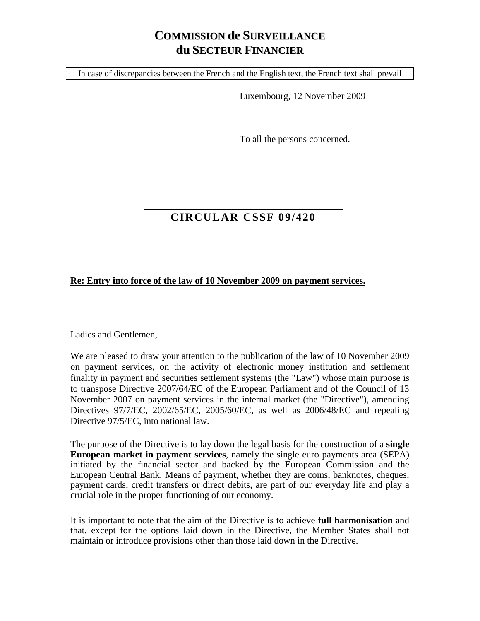## **COMMISSION de SURVEILLANCE du SECTEUR FINANCIER**

In case of discrepancies between the French and the English text, the French text shall prevail

Luxembourg, 12 November 2009

To all the persons concerned.

## **CIRCULAR CSSF 09/420**

## **Re: Entry into force of the law of 10 November 2009 on payment services.**

Ladies and Gentlemen,

We are pleased to draw your attention to the publication of the law of 10 November 2009 on payment services, on the activity of electronic money institution and settlement finality in payment and securities settlement systems (the "Law") whose main purpose is to transpose Directive 2007/64/EC of the European Parliament and of the Council of 13 November 2007 on payment services in the internal market (the "Directive"), amending Directives 97/7/EC, 2002/65/EC, 2005/60/EC, as well as 2006/48/EC and repealing Directive 97/5/EC, into national law.

The purpose of the Directive is to lay down the legal basis for the construction of a **single European market in payment services**, namely the single euro payments area (SEPA) initiated by the financial sector and backed by the European Commission and the European Central Bank. Means of payment, whether they are coins, banknotes, cheques, payment cards, credit transfers or direct debits, are part of our everyday life and play a crucial role in the proper functioning of our economy.

It is important to note that the aim of the Directive is to achieve **full harmonisation** and that, except for the options laid down in the Directive, the Member States shall not maintain or introduce provisions other than those laid down in the Directive.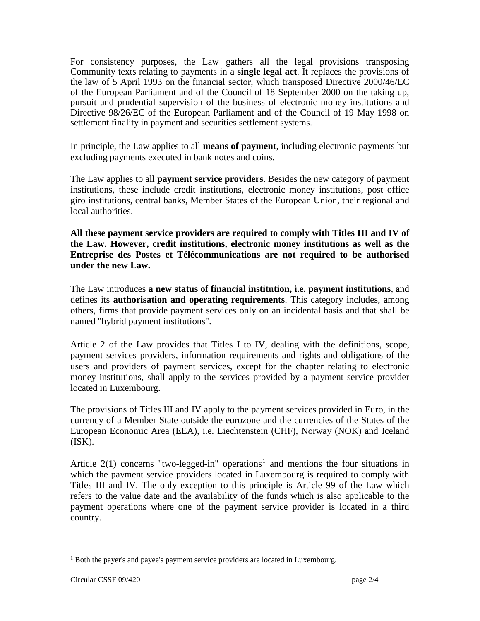For consistency purposes, the Law gathers all the legal provisions transposing Community texts relating to payments in a **single legal act**. It replaces the provisions of the law of 5 April 1993 on the financial sector, which transposed Directive 2000/46/EC of the European Parliament and of the Council of 18 September 2000 on the taking up, pursuit and prudential supervision of the business of electronic money institutions and Directive 98/26/EC of the European Parliament and of the Council of 19 May 1998 on settlement finality in payment and securities settlement systems.

In principle, the Law applies to all **means of payment**, including electronic payments but excluding payments executed in bank notes and coins.

The Law applies to all **payment service providers**. Besides the new category of payment institutions, these include credit institutions, electronic money institutions, post office giro institutions, central banks, Member States of the European Union, their regional and local authorities.

**All these payment service providers are required to comply with Titles III and IV of the Law. However, credit institutions, electronic money institutions as well as the Entreprise des Postes et Télécommunications are not required to be authorised under the new Law.** 

The Law introduces **a new status of financial institution, i.e. payment institutions**, and defines its **authorisation and operating requirements**. This category includes, among others, firms that provide payment services only on an incidental basis and that shall be named "hybrid payment institutions".

Article 2 of the Law provides that Titles I to IV, dealing with the definitions, scope, payment services providers, information requirements and rights and obligations of the users and providers of payment services, except for the chapter relating to electronic money institutions, shall apply to the services provided by a payment service provider located in Luxembourg.

The provisions of Titles III and IV apply to the payment services provided in Euro, in the currency of a Member State outside the eurozone and the currencies of the States of the European Economic Area (EEA), i.e. Liechtenstein (CHF), Norway (NOK) and Iceland  $(ISK).$ 

Article  $2(1)$  $2(1)$  $2(1)$  concerns "two-legged-in" operations<sup>1</sup> and mentions the four situations in which the payment service providers located in Luxembourg is required to comply with Titles III and IV. The only exception to this principle is Article 99 of the Law which refers to the value date and the availability of the funds which is also applicable to the payment operations where one of the payment service provider is located in a third country.

<span id="page-1-0"></span><sup>&</sup>lt;sup>1</sup> Both the payer's and payee's payment service providers are located in Luxembourg.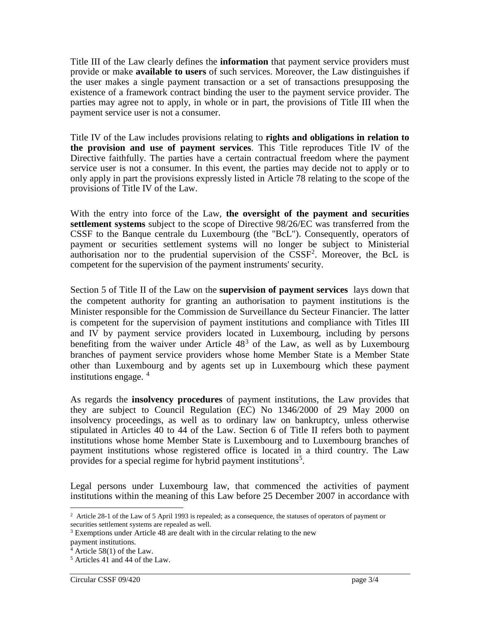Title III of the Law clearly defines the **information** that payment service providers must provide or make **available to users** of such services. Moreover, the Law distinguishes if the user makes a single payment transaction or a set of transactions presupposing the existence of a framework contract binding the user to the payment service provider. The parties may agree not to apply, in whole or in part, the provisions of Title III when the payment service user is not a consumer.

Title IV of the Law includes provisions relating to **rights and obligations in relation to the provision and use of payment services**. This Title reproduces Title IV of the Directive faithfully. The parties have a certain contractual freedom where the payment service user is not a consumer. In this event, the parties may decide not to apply or to only apply in part the provisions expressly listed in Article 78 relating to the scope of the provisions of Title IV of the Law.

With the entry into force of the Law, **the oversight of the payment and securities settlement systems** subject to the scope of Directive 98/26/EC was transferred from the CSSF to the Banque centrale du Luxembourg (the "BcL"). Consequently, operators of payment or securities settlement systems will no longer be subject to Ministerial authorisation nor to the prudential supervision of the CSSF<sup>[2](#page-2-0)</sup>. Moreover, the BcL is competent for the supervision of the payment instruments' security.

Section 5 of Title II of the Law on the **supervision of payment services** lays down that the competent authority for granting an authorisation to payment institutions is the Minister responsible for the Commission de Surveillance du Secteur Financier. The latter is competent for the supervision of payment institutions and compliance with Titles III and IV by payment service providers located in Luxembourg, including by persons benefiting from the waiver under Article  $48<sup>3</sup>$  $48<sup>3</sup>$  $48<sup>3</sup>$  of the Law, as well as by Luxembourg branches of payment service providers whose home Member State is a Member State other than Luxembourg and by agents set up in Luxembourg which these payment institutions engage.  $4$ 

As regards the **insolvency procedures** of payment institutions, the Law provides that they are subject to Council Regulation (EC) No 1346/2000 of 29 May 2000 on insolvency proceedings, as well as to ordinary law on bankruptcy, unless otherwise stipulated in Articles 40 to 44 of the Law. Section 6 of Title II refers both to payment institutions whose home Member State is Luxembourg and to Luxembourg branches of payment institutions whose registered office is located in a third country. The Law provides for a special regime for hybrid payment institutions<sup>[5](#page-2-3)</sup>.

Legal persons under Luxembourg law, that commenced the activities of payment institutions within the meaning of this Law before 25 December 2007 in accordance with

<span id="page-2-0"></span><sup>&</sup>lt;sup>2</sup> Article 28-1 of the Law of 5 April 1993 is repealed; as a consequence, the statuses of operators of payment or securities settlement systems are repealed as well.

<span id="page-2-1"></span><sup>3</sup> Exemptions under Article 48 are dealt with in the circular relating to the new

payment institutions.

<span id="page-2-2"></span> $4$  Article 58(1) of the Law.

<span id="page-2-3"></span><sup>5</sup> Articles 41 and 44 of the Law.